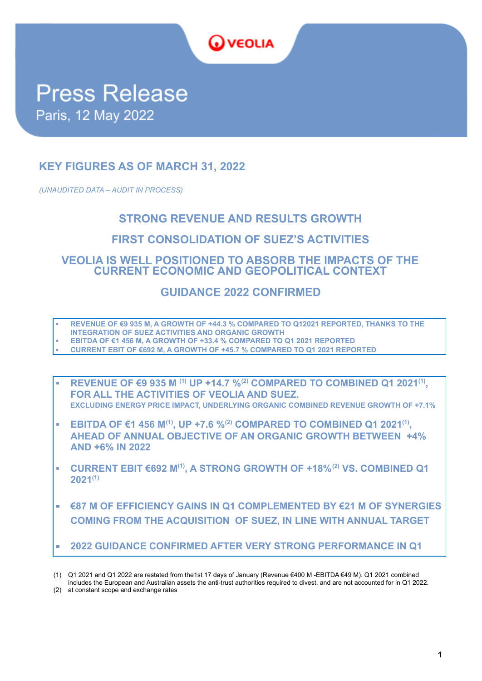

# **Press Release** Paris, 12 May 2022

# **KEY FIGURES AS OF MARCH 31, 2022**

*(UNAUDITED DATA – AUDIT IN PROCESS)*

# **STRONG REVENUE AND RESULTS GROWTH**

## **FIRST CONSOLIDATION OF SUEZ'S ACTIVITIES**

**VEOLIA IS WELL POSITIONED TO ABSORB THE IMPACTS OF THE CURRENT ECONOMIC AND GEOPOLITICAL CONTEXT**

# **GUIDANCE 2022 CONFIRMED**

- **▪ REVENUE OF €9 935 M, A GROWTH OF +44.3 % COMPARED TO Q12021 REPORTED, THANKS TO THE**
- **INTEGRATION OF SUEZ ACTIVITIES AND ORGANIC GROWTH**
- **▪ EBITDA OF €1 456 M, A GROWTH OF +33.4 % COMPARED TO Q1 2021 REPORTED ▪ CURRENT EBIT OF €692 M, A GROWTH OF +45.7 % COMPARED TO Q1 2021 REPORTED**
- **▪ REVENUE OF €9 935 M (1) UP +14.7 %(2) COMPARED TO COMBINED Q1 2021(1) , FOR ALL THE ACTIVITIES OF VEOLIA AND SUEZ. EXCLUDING ENERGY PRICE IMPACT, UNDERLYING ORGANIC COMBINED REVENUE GROWTH OF +7.1%**
- **▪ EBITDA OF €1 456 M(1) , UP +7.6 %(2) COMPARED TO COMBINED Q1 2021(1) , AHEAD OF ANNUAL OBJECTIVE OF AN ORGANIC GROWTH BETWEEN +4% AND +6% IN 2022**
- **▪ CURRENT EBIT €692 M(1) , A STRONG GROWTH OF +18%(2) VS. COMBINED Q1 2021(1)**
- **€87 M OF EFFICIENCY GAINS IN Q1 COMPLEMENTED BY €21 M OF SYNERGIES COMING FROM THE ACQUISITION OF SUEZ, IN LINE WITH ANNUAL TARGET**
- **2022 GUIDANCE CONFIRMED AFTER VERY STRONG PERFORMANCE IN Q1**
- (1) Q1 2021 and Q1 2022 are restated from the1st 17 days of January (Revenue €400 M -EBITDA €49 M). Q1 2021 combined

includes the European and Australian assets the anti-trust authorities required to divest, and are not accounted for in Q1 2022. (2) at constant scope and exchange rates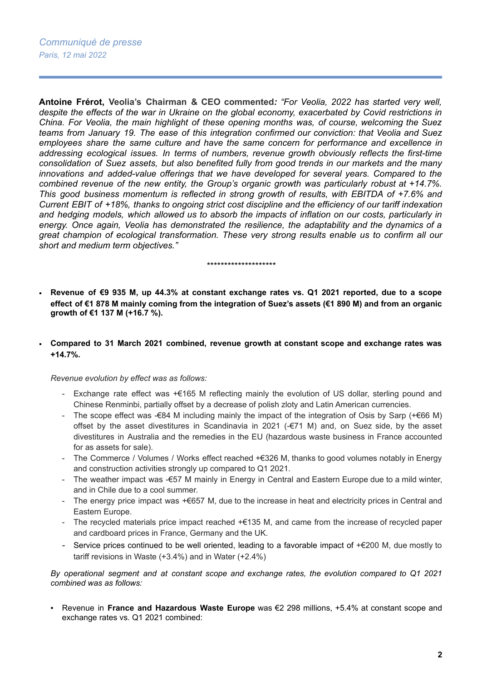**Antoine Frérot, Veolia's Chairman & CEO commented***: "For Veolia, 2022 has started very well, despite the effects of the war in Ukraine on the global economy, exacerbated by Covid restrictions in China. For Veolia, the main highlight of these opening months was, of course, welcoming the Suez teams from January 19. The ease of this integration confirmed our conviction: that Veolia and Suez employees share the same culture and have the same concern for performance and excellence in addressing ecological issues. In terms of numbers, revenue growth obviously reflects the first-time consolidation of Suez assets, but also benefited fully from good trends in our markets and the many innovations and added-value offerings that we have developed for several years. Compared to the combined revenue of the new entity, the Group's organic growth was particularly robust at +14.7%. This good business momentum is reflected in strong growth of results, with EBITDA of +7.6% and* Current EBIT of +18%, thanks to ongoing strict cost discipline and the efficiency of our tariff indexation *and hedging models, which allowed us to absorb the impacts of inflation on our costs, particularly in energy. Once again, Veolia has demonstrated the resilience, the adaptability and the dynamics of a great champion of ecological transformation. These very strong results enable us to confirm all our short and medium term objectives."*

#### *\*\*\*\*\*\*\*\*\*\*\*\*\*\*\*\*\*\*\*\**

- Revenue of €9 935 M, up 44.3% at constant exchange rates vs. Q1 2021 reported, due to a scope effect of €1 878 M mainly coming from the integration of Suez's assets (€1 890 M) and from an organic **growth of €1 137 M (+16.7 %).**
- **Compared to 31 March 2021 combined, revenue growth at constant scope and exchange rates was +14.7%.**

#### *Revenue evolution by effect was as follows:*

- Exchange rate effect was +€165 M reflecting mainly the evolution of US dollar, sterling pound and Chinese Renminbi, partially offset by a decrease of polish zloty and Latin American currencies.
- The scope effect was - $€84$  M including mainly the impact of the integration of Osis by Sarp (+ $€66$  M) offset by the asset divestitures in Scandinavia in 2021 (-€71 M) and, on Suez side, by the asset divestitures in Australia and the remedies in the EU (hazardous waste business in France accounted for as assets for sale).
- The Commerce / Volumes / Works effect reached +€326 M, thanks to good volumes notably in Energy and construction activities strongly up compared to Q1 2021.
- The weather impact was -€57 M mainly in Energy in Central and Eastern Europe due to a mild winter, and in Chile due to a cool summer.
- The energy price impact was +€657 M, due to the increase in heat and electricity prices in Central and Eastern Europe.
- The recycled materials price impact reached +€135 M, and came from the increase of recycled paper and cardboard prices in France, Germany and the UK.
- Service prices continued to be well oriented, leading to a favorable impact of +€200 M, due mostly to tariff revisions in Waste (+3.4%) and in Water (+2.4%)

*By operational segment and at constant scope and exchange rates, the evolution compared to Q1 2021 combined was as follows:*

▪ Revenue in **France and Hazardous Waste Europe** was €2 298 millions, +5.4% at constant scope and exchange rates vs. Q1 2021 combined: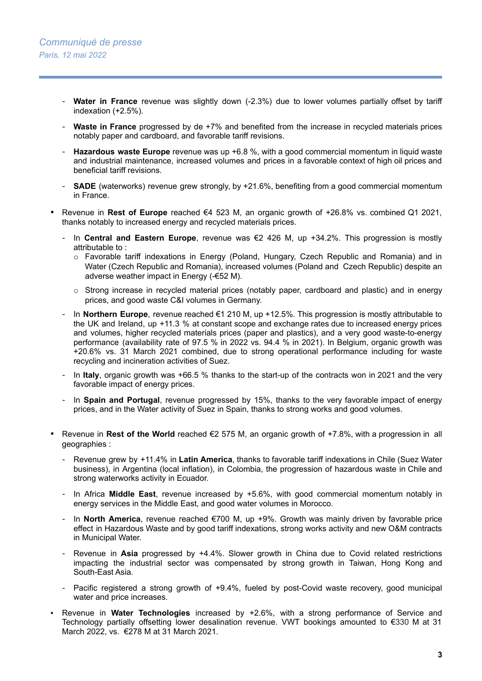- **Water in France** revenue was slightly down (-2.3%) due to lower volumes partially offset by tariff indexation (+2.5%).
- **Waste in France** progressed by de +7% and benefited from the increase in recycled materials prices notably paper and cardboard, and favorable tariff revisions.
- **Hazardous waste Europe** revenue was up +6.8 %, with a good commercial momentum in liquid waste and industrial maintenance, increased volumes and prices in a favorable context of high oil prices and beneficial tariff revisions.
- **SADE** (waterworks) revenue grew strongly, by +21.6%, benefiting from a good commercial momentum in France.
- Revenue in **Rest of Europe** reached €4 523 M, an organic growth of +26.8% vs. combined Q1 2021, thanks notably to increased energy and recycled materials prices.
	- In **Central and Eastern Europe**, revenue was €2 426 M, up +34.2%. This progression is mostly attributable to :
		- o Favorable tariff indexations in Energy (Poland, Hungary, Czech Republic and Romania) and in Water (Czech Republic and Romania), increased volumes (Poland and Czech Republic) despite an adverse weather impact in Energy (-€52 M).
		- $\circ$  Strong increase in recycled material prices (notably paper, cardboard and plastic) and in energy prices, and good waste C&I volumes in Germany.
	- In **Northern Europe**, revenue reached €1 210 M, up +12.5%. This progression is mostly attributable to the UK and Ireland, up +11.3 % at constant scope and exchange rates due to increased energy prices and volumes, higher recycled materials prices (paper and plastics), and a very good waste-to-energy performance (availability rate of 97.5 % in 2022 vs. 94.4 % in 2021). In Belgium, organic growth was +20.6% vs. 31 March 2021 combined, due to strong operational performance including for waste recycling and incineration activities of Suez.
	- In **Italy**, organic growth was +66.5 % thanks to the start-up of the contracts won in 2021 and the very favorable impact of energy prices.
	- In **Spain and Portugal**, revenue progressed by 15%, thanks to the very favorable impact of energy prices, and in the Water activity of Suez in Spain, thanks to strong works and good volumes.
- Revenue in Rest of the World reached €2 575 M, an organic growth of +7.8%, with a progression in all geographies :
	- Revenue grew by +11.4% in **Latin America**, thanks to favorable tariff indexations in Chile (Suez Water business), in Argentina (local inflation), in Colombia, the progression of hazardous waste in Chile and strong waterworks activity in Ecuador.
	- In Africa **Middle East**, revenue increased by +5.6%, with good commercial momentum notably in energy services in the Middle East, and good water volumes in Morocco.
	- In **North America**, revenue reached €700 M, up +9%. Growth was mainly driven by favorable price effect in Hazardous Waste and by good tariff indexations, strong works activity and new O&M contracts in Municipal Water.
	- Revenue in **Asia** progressed by +4.4%. Slower growth in China due to Covid related restrictions impacting the industrial sector was compensated by strong growth in Taiwan, Hong Kong and South-East Asia.
	- Pacific registered a strong growth of +9.4%, fueled by post-Covid waste recovery, good municipal water and price increases.
- Revenue in Water Technologies increased by +2.6%, with a strong performance of Service and Technology partially offsetting lower desalination revenue. VWT bookings amounted to €330 M at 31 March 2022, vs. €278 M at 31 March 2021.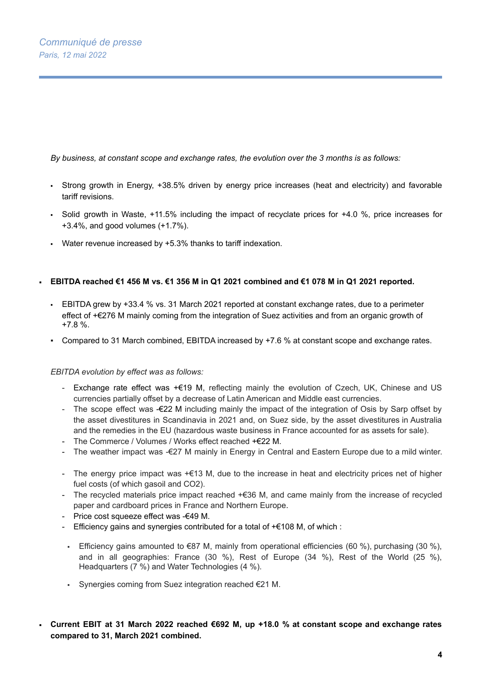*By business, at constant scope and exchange rates, the evolution over the 3 months is as follows:*

- Strong growth in Energy, +38.5% driven by energy price increases (heat and electricity) and favorable tariff revisions.
- Solid growth in Waste, +11.5% including the impact of recyclate prices for +4.0 %, price increases for +3.4%, and good volumes (+1.7%).
- Water revenue increased by +5.3% thanks to tariff indexation.

## EBITDA reached €1 456 M vs. €1 356 M in Q1 2021 combined and €1 078 M in Q1 2021 reported.

- EBITDA grew by +33.4 % vs. 31 March 2021 reported at constant exchange rates, due to a perimeter effect of +€276 M mainly coming from the integration of Suez activities and from an organic growth of +7.8 %.
- Compared to 31 March combined, EBITDA increased by +7.6 % at constant scope and exchange rates.

## *EBITDA evolution by effect was as follows:*

- Exchange rate effect was +€19 M, reflecting mainly the evolution of Czech, UK, Chinese and US currencies partially offset by a decrease of Latin American and Middle east currencies.
- The scope effect was -€22 M including mainly the impact of the integration of Osis by Sarp offset by the asset divestitures in Scandinavia in 2021 and, on Suez side, by the asset divestitures in Australia and the remedies in the EU (hazardous waste business in France accounted for as assets for sale).
- The Commerce / Volumes / Works effect reached +€22 M.
- The weather impact was -€27 M mainly in Energy in Central and Eastern Europe due to a mild winter.
- The energy price impact was +€13 M, due to the increase in heat and electricity prices net of higher fuel costs (of which gasoil and CO2).
- The recycled materials price impact reached +€36 M, and came mainly from the increase of recycled paper and cardboard prices in France and Northern Europe.
- Price cost squeeze effect was -€49 M.
- Efficiency gains and synergies contributed for a total of +€108 M, of which :
- Efficiency gains amounted to  $€87$  M, mainly from operational efficiencies (60 %), purchasing (30 %), and in all geographies: France (30 %), Rest of Europe (34 %), Rest of the World (25 %), Headquarters (7 %) and Water Technologies (4 %).
- Synergies coming from Suez integration reached €21 M.
- **Current EBIT at 31 March 2022 reached €692 M, up +18.0 % at constant scope and exchange rates compared to 31, March 2021 combined.**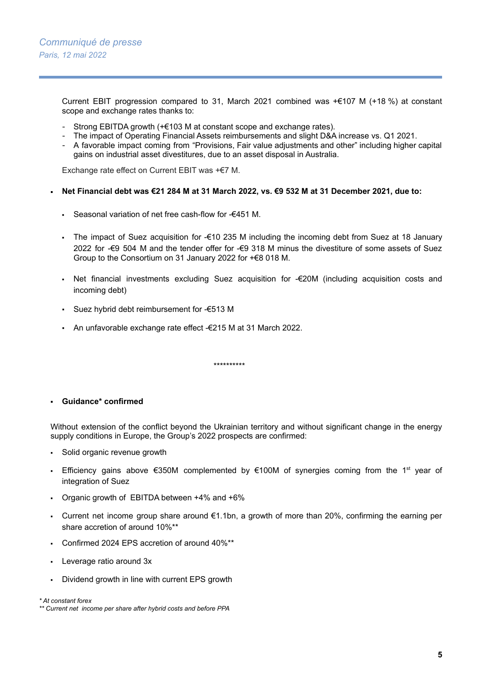Current EBIT progression compared to 31, March 2021 combined was +€107 M (+18 %) at constant scope and exchange rates thanks to:

- Strong EBITDA growth (+€103 M at constant scope and exchange rates).
- The impact of Operating Financial Assets reimbursements and slight D&A increase vs. Q1 2021.
- A favorable impact coming from "Provisions, Fair value adjustments and other" including higher capital gains on industrial asset divestitures, due to an asset disposal in Australia.

Exchange rate effect on Current EBIT was +€7 M.

- Net Financial debt was €21 284 M at 31 March 2022, vs. €9 532 M at 31 December 2021, due to:
	- Seasonal variation of net free cash-flow for -€451 M.
	- The impact of Suez acquisition for -€10 235 M including the incoming debt from Suez at 18 January 2022 for -€9 504 M and the tender offer for -€9 318 M minus the divestiture of some assets of Suez Group to the Consortium on 31 January 2022 for +€8 018 M.
	- Net financial investments excluding Suez acquisition for -€20M (including acquisition costs and incoming debt)
	- Suez hybrid debt reimbursement for -€513 M
	- An unfavorable exchange rate effect -€215 M at 31 March 2022.

▪ **Guidance\* confirmed**

Without extension of the conflict beyond the Ukrainian territory and without significant change in the energy supply conditions in Europe, the Group's 2022 prospects are confirmed:

\*\*\*\*\*\*\*\*\*\*

- Solid organic revenue growth
- Efficiency gains above €350M complemented by €100M of synergies coming from the 1<sup>st</sup> year of integration of Suez
- Organic growth of EBITDA between  $+4\%$  and  $+6\%$
- Current net income group share around  $\epsilon$ 1.1bn, a growth of more than 20%, confirming the earning per share accretion of around 10%\*\*
- Confirmed 2024 EPS accretion of around 40%\*\*
- Leverage ratio around 3x
- Dividend growth in line with current EPS growth

*\* At constant forex*

*<sup>\*\*</sup> Current net income per share after hybrid costs and before PPA*